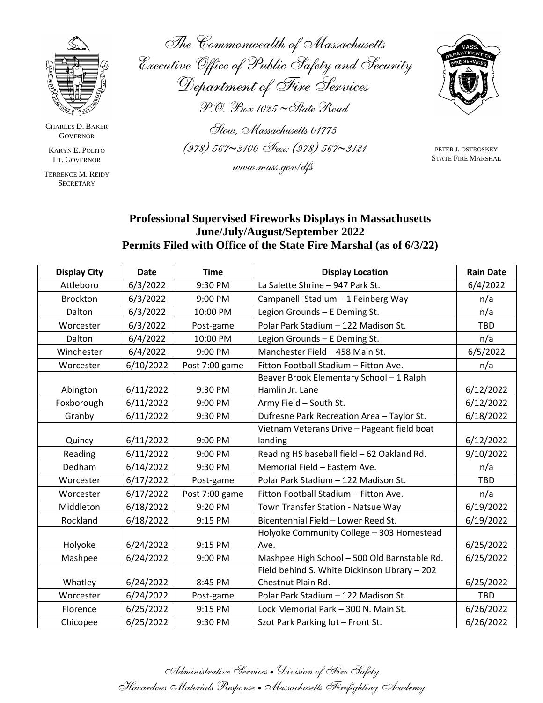

CHARLES D. BAKER **GOVERNOR** 

KARYN E. POLITO LT. GOVERNOR

TERRENCE M. REIDY **SECRETARY** 

*The Commonwealth of Massachusetts Executive Office of Public Safety and Security Department of Fire Services P.O. Box 1025 State Road Stow, Massachusetts 01775 (978) 5673100 Fax: (978) 5673121 www.mass.gov/dfs*



PETER J. OSTROSKEY STATE FIRE MARSHAL

## **Professional Supervised Fireworks Displays in Massachusetts June/July/August/September 2022 Permits Filed with Office of the State Fire Marshal (as of 6/3/22)**

| <b>Display City</b> | <b>Date</b> | <b>Time</b>    | <b>Display Location</b>                       | <b>Rain Date</b> |
|---------------------|-------------|----------------|-----------------------------------------------|------------------|
| Attleboro           | 6/3/2022    | 9:30 PM        | La Salette Shrine - 947 Park St.              | 6/4/2022         |
| <b>Brockton</b>     | 6/3/2022    | 9:00 PM        | Campanelli Stadium - 1 Feinberg Way           | n/a              |
| Dalton              | 6/3/2022    | 10:00 PM       | Legion Grounds - E Deming St.                 | n/a              |
| Worcester           | 6/3/2022    | Post-game      | Polar Park Stadium - 122 Madison St.          | <b>TBD</b>       |
| Dalton              | 6/4/2022    | 10:00 PM       | Legion Grounds - E Deming St.                 | n/a              |
| Winchester          | 6/4/2022    | 9:00 PM        | Manchester Field - 458 Main St.               | 6/5/2022         |
| Worcester           | 6/10/2022   | Post 7:00 game | Fitton Football Stadium - Fitton Ave.         | n/a              |
|                     |             |                | Beaver Brook Elementary School - 1 Ralph      |                  |
| Abington            | 6/11/2022   | 9:30 PM        | Hamlin Jr. Lane                               | 6/12/2022        |
| Foxborough          | 6/11/2022   | 9:00 PM        | Army Field - South St.                        | 6/12/2022        |
| Granby              | 6/11/2022   | 9:30 PM        | Dufresne Park Recreation Area - Taylor St.    | 6/18/2022        |
|                     |             |                | Vietnam Veterans Drive - Pageant field boat   |                  |
| Quincy              | 6/11/2022   | 9:00 PM        | landing                                       | 6/12/2022        |
| Reading             | 6/11/2022   | 9:00 PM        | Reading HS baseball field - 62 Oakland Rd.    | 9/10/2022        |
| Dedham              | 6/14/2022   | 9:30 PM        | Memorial Field - Eastern Ave.                 | n/a              |
| Worcester           | 6/17/2022   | Post-game      | Polar Park Stadium - 122 Madison St.          | <b>TBD</b>       |
| Worcester           | 6/17/2022   | Post 7:00 game | Fitton Football Stadium - Fitton Ave.         | n/a              |
| Middleton           | 6/18/2022   | 9:20 PM        | Town Transfer Station - Natsue Way            | 6/19/2022        |
| Rockland            | 6/18/2022   | 9:15 PM        | Bicentennial Field - Lower Reed St.           | 6/19/2022        |
|                     |             |                | Holyoke Community College - 303 Homestead     |                  |
| Holyoke             | 6/24/2022   | 9:15 PM        | Ave.                                          | 6/25/2022        |
| Mashpee             | 6/24/2022   | 9:00 PM        | Mashpee High School - 500 Old Barnstable Rd.  | 6/25/2022        |
|                     |             |                | Field behind S. White Dickinson Library - 202 |                  |
| Whatley             | 6/24/2022   | 8:45 PM        | Chestnut Plain Rd.                            | 6/25/2022        |
| Worcester           | 6/24/2022   | Post-game      | Polar Park Stadium - 122 Madison St.          | <b>TBD</b>       |
| Florence            | 6/25/2022   | 9:15 PM        | Lock Memorial Park - 300 N. Main St.          | 6/26/2022        |
| Chicopee            | 6/25/2022   | 9:30 PM        | Szot Park Parking lot - Front St.             | 6/26/2022        |

*Administrative Services* • *Division of Fire Safety Hazardous Materials Response* •*Massachusetts Firefighting Academy*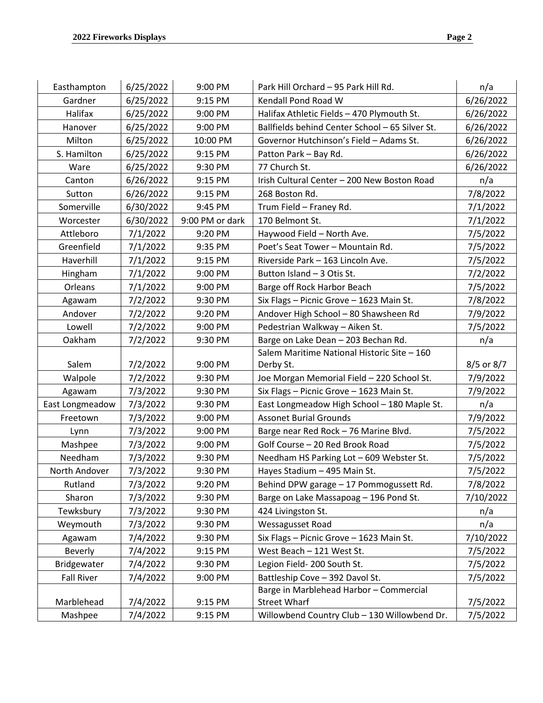| Easthampton       | 6/25/2022 | 9:00 PM         | Park Hill Orchard - 95 Park Hill Rd.            | n/a        |
|-------------------|-----------|-----------------|-------------------------------------------------|------------|
| Gardner           | 6/25/2022 | 9:15 PM         | Kendall Pond Road W                             | 6/26/2022  |
| Halifax           | 6/25/2022 | 9:00 PM         | Halifax Athletic Fields - 470 Plymouth St.      | 6/26/2022  |
| Hanover           | 6/25/2022 | 9:00 PM         | Ballfields behind Center School - 65 Silver St. | 6/26/2022  |
| Milton            | 6/25/2022 | 10:00 PM        | Governor Hutchinson's Field - Adams St.         | 6/26/2022  |
| S. Hamilton       | 6/25/2022 | 9:15 PM         | Patton Park - Bay Rd.                           | 6/26/2022  |
| Ware              | 6/25/2022 | 9:30 PM         | 77 Church St.                                   | 6/26/2022  |
| Canton            | 6/26/2022 | 9:15 PM         | Irish Cultural Center - 200 New Boston Road     | n/a        |
| Sutton            | 6/26/2022 | 9:15 PM         | 268 Boston Rd.                                  | 7/8/2022   |
| Somerville        | 6/30/2022 | 9:45 PM         | Trum Field - Franey Rd.                         | 7/1/2022   |
| Worcester         | 6/30/2022 | 9:00 PM or dark | 170 Belmont St.                                 | 7/1/2022   |
| Attleboro         | 7/1/2022  | 9:20 PM         | Haywood Field - North Ave.                      | 7/5/2022   |
| Greenfield        | 7/1/2022  | 9:35 PM         | Poet's Seat Tower - Mountain Rd.                | 7/5/2022   |
| Haverhill         | 7/1/2022  | 9:15 PM         | Riverside Park - 163 Lincoln Ave.               | 7/5/2022   |
| Hingham           | 7/1/2022  | 9:00 PM         | Button Island - 3 Otis St.                      | 7/2/2022   |
| Orleans           | 7/1/2022  | 9:00 PM         | Barge off Rock Harbor Beach                     | 7/5/2022   |
| Agawam            | 7/2/2022  | 9:30 PM         | Six Flags - Picnic Grove - 1623 Main St.        | 7/8/2022   |
| Andover           | 7/2/2022  | 9:20 PM         | Andover High School - 80 Shawsheen Rd           | 7/9/2022   |
| Lowell            | 7/2/2022  | 9:00 PM         | Pedestrian Walkway - Aiken St.                  | 7/5/2022   |
| Oakham            | 7/2/2022  | 9:30 PM         | Barge on Lake Dean - 203 Bechan Rd.             | n/a        |
|                   |           |                 | Salem Maritime National Historic Site - 160     |            |
| Salem             | 7/2/2022  | 9:00 PM         | Derby St.                                       | 8/5 or 8/7 |
| Walpole           | 7/2/2022  | 9:30 PM         | Joe Morgan Memorial Field - 220 School St.      | 7/9/2022   |
| Agawam            | 7/3/2022  | 9:30 PM         | Six Flags - Picnic Grove - 1623 Main St.        | 7/9/2022   |
| East Longmeadow   | 7/3/2022  | 9:30 PM         | East Longmeadow High School - 180 Maple St.     | n/a        |
| Freetown          | 7/3/2022  | 9:00 PM         | <b>Assonet Burial Grounds</b>                   | 7/9/2022   |
| Lynn              | 7/3/2022  | 9:00 PM         | Barge near Red Rock - 76 Marine Blvd.           | 7/5/2022   |
| Mashpee           | 7/3/2022  | 9:00 PM         | Golf Course - 20 Red Brook Road                 | 7/5/2022   |
| Needham           | 7/3/2022  | 9:30 PM         | Needham HS Parking Lot - 609 Webster St.        | 7/5/2022   |
| North Andover     | 7/3/2022  | 9:30 PM         | Hayes Stadium - 495 Main St.                    | 7/5/2022   |
| Rutland           | 7/3/2022  | 9:20 PM         | Behind DPW garage - 17 Pommogussett Rd.         | 7/8/2022   |
| Sharon            | 7/3/2022  | 9:30 PM         | Barge on Lake Massapoag - 196 Pond St.          | 7/10/2022  |
| Tewksbury         | 7/3/2022  | 9:30 PM         | 424 Livingston St.                              | n/a        |
| Weymouth          | 7/3/2022  | 9:30 PM         | Wessagusset Road                                | n/a        |
| Agawam            | 7/4/2022  | 9:30 PM         | Six Flags - Picnic Grove - 1623 Main St.        | 7/10/2022  |
| <b>Beverly</b>    | 7/4/2022  | 9:15 PM         | West Beach - 121 West St.                       | 7/5/2022   |
| Bridgewater       | 7/4/2022  | 9:30 PM         | Legion Field- 200 South St.                     | 7/5/2022   |
| <b>Fall River</b> | 7/4/2022  | 9:00 PM         | Battleship Cove - 392 Davol St.                 | 7/5/2022   |
|                   |           |                 | Barge in Marblehead Harbor - Commercial         |            |
| Marblehead        | 7/4/2022  | 9:15 PM         | <b>Street Wharf</b>                             | 7/5/2022   |
| Mashpee           | 7/4/2022  | 9:15 PM         | Willowbend Country Club - 130 Willowbend Dr.    | 7/5/2022   |